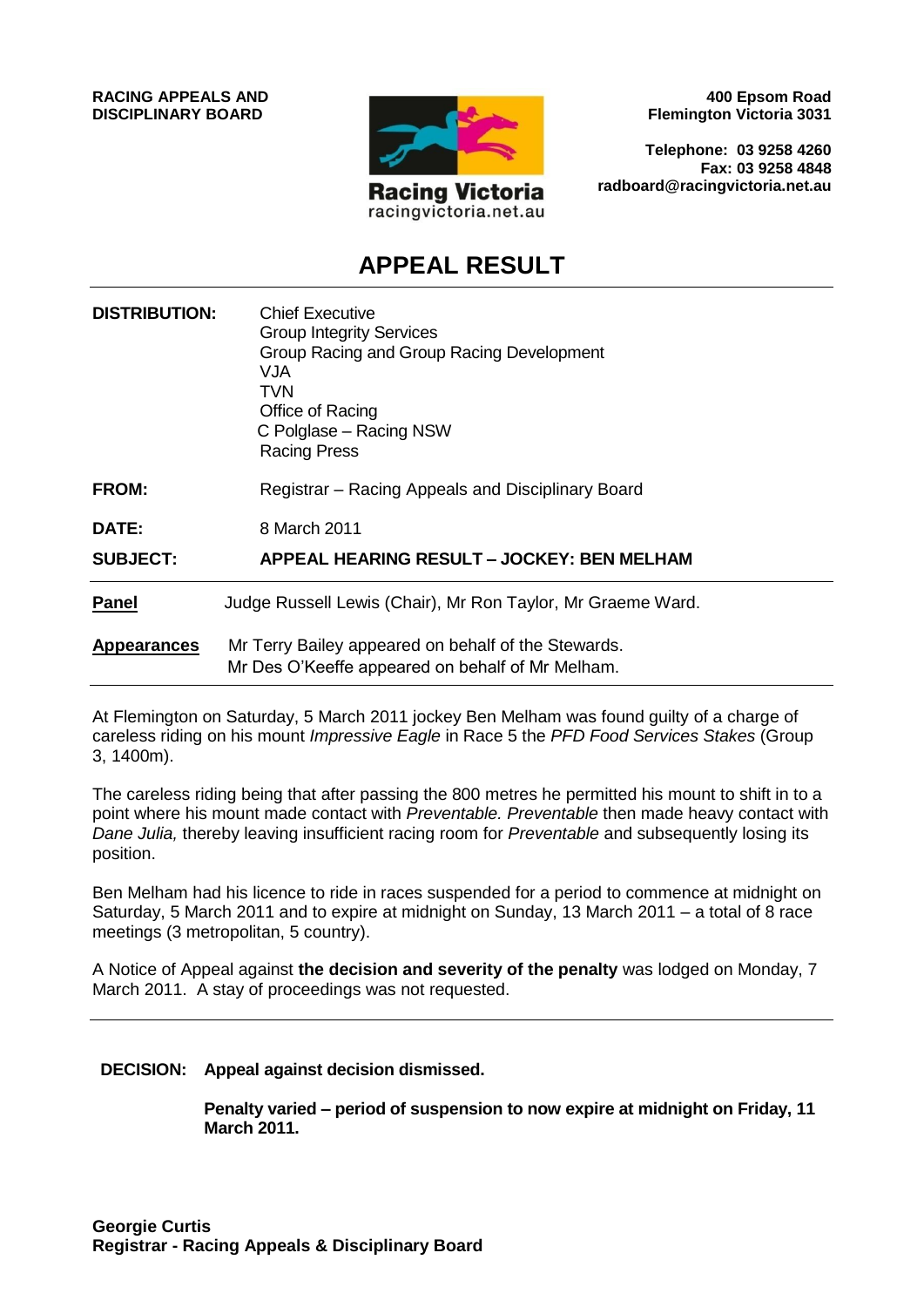

**400 Epsom Road Flemington Victoria 3031**

**Telephone: 03 9258 4260 Fax: 03 9258 4848 radboard@racingvictoria.net.au**

# **APPEAL RESULT**

| <b>DISTRIBUTION:</b> | <b>Chief Executive</b><br><b>Group Integrity Services</b><br>Group Racing and Group Racing Development<br>VJA.<br>TVN<br>Office of Racing<br>C Polglase – Racing NSW<br><b>Racing Press</b> |
|----------------------|---------------------------------------------------------------------------------------------------------------------------------------------------------------------------------------------|
| <b>FROM:</b>         | Registrar – Racing Appeals and Disciplinary Board                                                                                                                                           |
| DATE:                | 8 March 2011                                                                                                                                                                                |
| <b>SUBJECT:</b>      | APPEAL HEARING RESULT - JOCKEY: BEN MELHAM                                                                                                                                                  |
| Panel                | Judge Russell Lewis (Chair), Mr Ron Taylor, Mr Graeme Ward.                                                                                                                                 |
| <b>Appearances</b>   | Mr Terry Bailey appeared on behalf of the Stewards.<br>Mr Des O'Keeffe appeared on behalf of Mr Melham.                                                                                     |

At Flemington on Saturday, 5 March 2011 jockey Ben Melham was found guilty of a charge of careless riding on his mount *Impressive Eagle* in Race 5 the *PFD Food Services Stakes* (Group 3, 1400m).

The careless riding being that after passing the 800 metres he permitted his mount to shift in to a point where his mount made contact with *Preventable. Preventable* then made heavy contact with *Dane Julia,* thereby leaving insufficient racing room for *Preventable* and subsequently losing its position.

Ben Melham had his licence to ride in races suspended for a period to commence at midnight on Saturday, 5 March 2011 and to expire at midnight on Sunday, 13 March 2011 – a total of 8 race meetings (3 metropolitan, 5 country).

A Notice of Appeal against **the decision and severity of the penalty** was lodged on Monday, 7 March 2011. A stay of proceedings was not requested.

#### **DECISION: Appeal against decision dismissed.**

**Penalty varied – period of suspension to now expire at midnight on Friday, 11 March 2011.**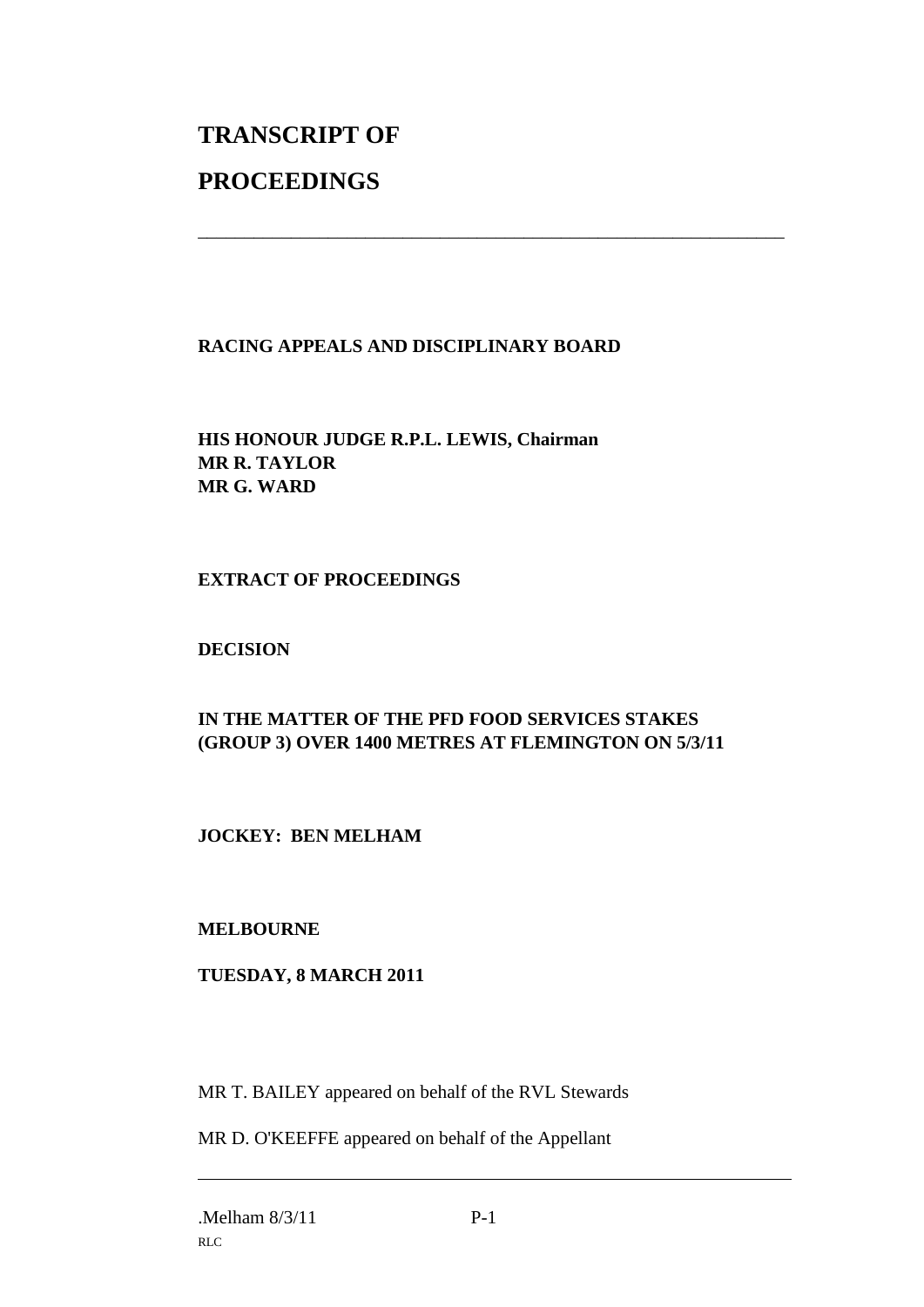# **TRANSCRIPT OF PROCEEDINGS**

# **RACING APPEALS AND DISCIPLINARY BOARD**

\_\_\_\_\_\_\_\_\_\_\_\_\_\_\_\_\_\_\_\_\_\_\_\_\_\_\_\_\_\_\_\_\_\_\_\_\_\_\_\_\_\_\_\_\_\_\_\_\_\_\_\_\_\_\_\_\_\_\_\_\_\_\_

**HIS HONOUR JUDGE R.P.L. LEWIS, Chairman MR R. TAYLOR MR G. WARD**

### **EXTRACT OF PROCEEDINGS**

### **DECISION**

# **IN THE MATTER OF THE PFD FOOD SERVICES STAKES (GROUP 3) OVER 1400 METRES AT FLEMINGTON ON 5/3/11**

# **JOCKEY: BEN MELHAM**

#### **MELBOURNE**

#### **TUESDAY, 8 MARCH 2011**

MR T. BAILEY appeared on behalf of the RVL Stewards

MR D. O'KEEFFE appeared on behalf of the Appellant